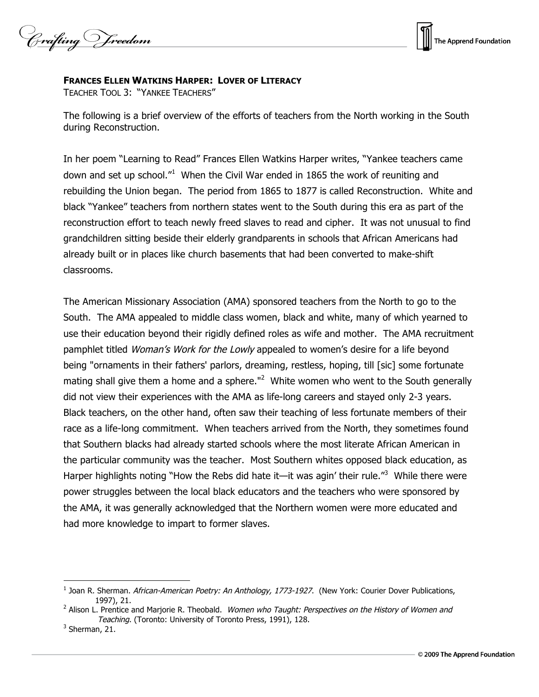Crafting Vreedom



## **FRANCES ELLEN WATKINS HARPER: LOVER OF LITERACY**

TEACHER TOOL 3: "YANKEE TEACHERS"

The following is a brief overview of the efforts of teachers from the North working in the South during Reconstruction.

In her poem "Learning to Read" Frances Ellen Watkins Harper writes, "Yankee teachers came down and set up school."<sup>1</sup> When the Civil War ended in 1865 the work of reuniting and rebuilding the Union began. The period from 1865 to 1877 is called Reconstruction. White and black "Yankee" teachers from northern states went to the South during this era as part of the reconstruction effort to teach newly freed slaves to read and cipher. It was not unusual to find grandchildren sitting beside their elderly grandparents in schools that African Americans had already built or in places like church basements that had been converted to make-shift classrooms.

The American Missionary Association (AMA) sponsored teachers from the North to go to the South. The AMA appealed to middle class women, black and white, many of which yearned to use their education beyond their rigidly defined roles as wife and mother. The AMA recruitment pamphlet titled *Woman's Work for the Lowly* appealed to women's desire for a life beyond being "ornaments in their fathers' parlors, dreaming, restless, hoping, till [sic] some fortunate mating shall give them a home and a sphere."<sup>2</sup> White women who went to the South generally did not view their experiences with the AMA as life-long careers and stayed only 2-3 years. Black teachers, on the other hand, often saw their teaching of less fortunate members of their race as a life-long commitment. When teachers arrived from the North, they sometimes found that Southern blacks had already started schools where the most literate African American in the particular community was the teacher. Most Southern whites opposed black education, as Harper highlights noting "How the Rebs did hate it—it was agin' their rule."<sup>3</sup> While there were power struggles between the local black educators and the teachers who were sponsored by the AMA, it was generally acknowledged that the Northern women were more educated and had more knowledge to impart to former slaves.

 $\overline{a}$ 

<sup>&</sup>lt;sup>1</sup> Joan R. Sherman. African-American Poetry: An Anthology, 1773-1927. (New York: Courier Dover Publications, 1997), 21.

<sup>&</sup>lt;sup>2</sup> Alison L. Prentice and Marjorie R. Theobald. Women who Taught: Perspectives on the History of Women and Teaching. (Toronto: University of Toronto Press, 1991), 128.

 $3$  Sherman, 21.